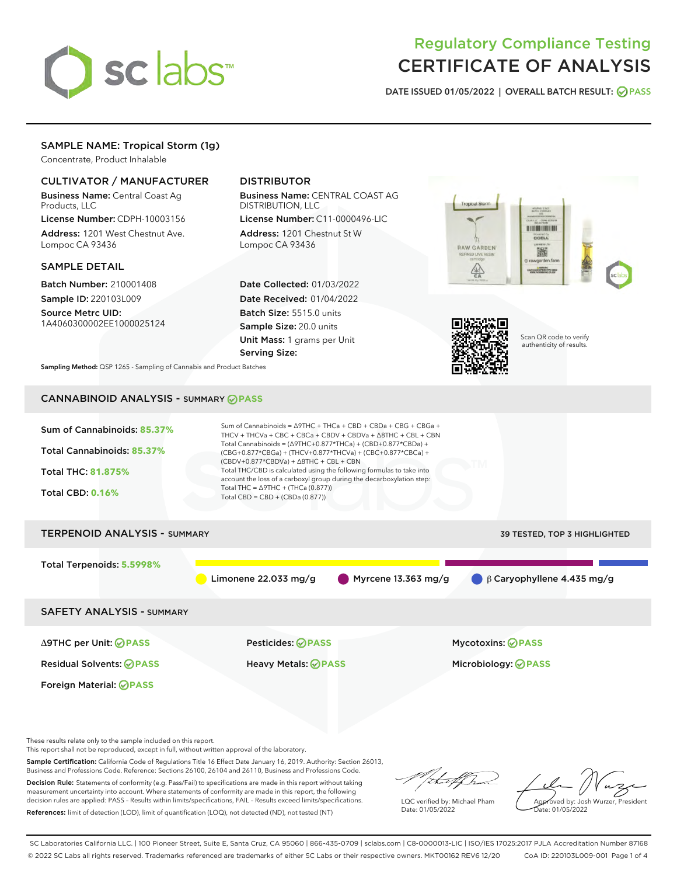

# Regulatory Compliance Testing CERTIFICATE OF ANALYSIS

DATE ISSUED 01/05/2022 | OVERALL BATCH RESULT: @ PASS

## SAMPLE NAME: Tropical Storm (1g)

Concentrate, Product Inhalable

## CULTIVATOR / MANUFACTURER

Business Name: Central Coast Ag Products, LLC

License Number: CDPH-10003156 Address: 1201 West Chestnut Ave. Lompoc CA 93436

## SAMPLE DETAIL

Batch Number: 210001408 Sample ID: 220103L009

Source Metrc UID: 1A4060300002EE1000025124

## DISTRIBUTOR

Business Name: CENTRAL COAST AG DISTRIBUTION, LLC

License Number: C11-0000496-LIC Address: 1201 Chestnut St W Lompoc CA 93436

Date Collected: 01/03/2022 Date Received: 01/04/2022 Batch Size: 5515.0 units Sample Size: 20.0 units Unit Mass: 1 grams per Unit Serving Size:





Scan QR code to verify authenticity of results.

Sampling Method: QSP 1265 - Sampling of Cannabis and Product Batches

## CANNABINOID ANALYSIS - SUMMARY **PASS**



These results relate only to the sample included on this report.

This report shall not be reproduced, except in full, without written approval of the laboratory.

Sample Certification: California Code of Regulations Title 16 Effect Date January 16, 2019. Authority: Section 26013, Business and Professions Code. Reference: Sections 26100, 26104 and 26110, Business and Professions Code.

Decision Rule: Statements of conformity (e.g. Pass/Fail) to specifications are made in this report without taking measurement uncertainty into account. Where statements of conformity are made in this report, the following decision rules are applied: PASS – Results within limits/specifications, FAIL – Results exceed limits/specifications. References: limit of detection (LOD), limit of quantification (LOQ), not detected (ND), not tested (NT)

that f h

LQC verified by: Michael Pham Date: 01/05/2022

Approved by: Josh Wurzer, President ate: 01/05/2022

SC Laboratories California LLC. | 100 Pioneer Street, Suite E, Santa Cruz, CA 95060 | 866-435-0709 | sclabs.com | C8-0000013-LIC | ISO/IES 17025:2017 PJLA Accreditation Number 87168 © 2022 SC Labs all rights reserved. Trademarks referenced are trademarks of either SC Labs or their respective owners. MKT00162 REV6 12/20 CoA ID: 220103L009-001 Page 1 of 4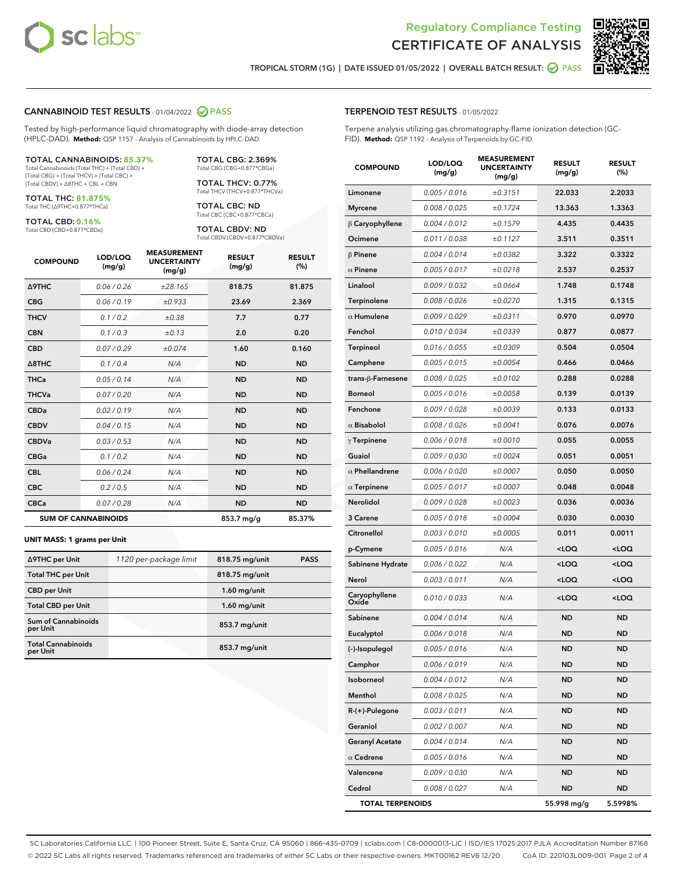



TROPICAL STORM (1G) | DATE ISSUED 01/05/2022 | OVERALL BATCH RESULT: **○** PASS

### CANNABINOID TEST RESULTS - 01/04/2022 2 PASS

Tested by high-performance liquid chromatography with diode-array detection (HPLC-DAD). **Method:** QSP 1157 - Analysis of Cannabinoids by HPLC-DAD

#### TOTAL CANNABINOIDS: **85.37%**

Total Cannabinoids (Total THC) + (Total CBD) + (Total CBG) + (Total THCV) + (Total CBC) + (Total CBDV) + ∆8THC + CBL + CBN

TOTAL THC: **81.875%** Total THC (∆9THC+0.877\*THCa)

TOTAL CBD: **0.16%**

Total CBD (CBD+0.877\*CBDa)

TOTAL CBG: 2.369% Total CBG (CBG+0.877\*CBGa)

TOTAL THCV: 0.77% Total THCV (THCV+0.877\*THCVa)

TOTAL CBC: ND Total CBC (CBC+0.877\*CBCa)

TOTAL CBDV: ND Total CBDV (CBDV+0.877\*CBDVa)

| <b>COMPOUND</b>            | LOD/LOQ<br>(mg/g) | <b>MEASUREMENT</b><br><b>UNCERTAINTY</b><br>(mg/g) | <b>RESULT</b><br>(mg/g) | <b>RESULT</b><br>(%) |
|----------------------------|-------------------|----------------------------------------------------|-------------------------|----------------------|
| <b>A9THC</b>               | 0.06 / 0.26       | ±28.165                                            | 818.75                  | 81.875               |
| <b>CBG</b>                 | 0.06/0.19         | ±0.933                                             | 23.69                   | 2.369                |
| <b>THCV</b>                | 0.1 / 0.2         | ±0.38                                              | 7.7                     | 0.77                 |
| <b>CBN</b>                 | 0.1/0.3           | ±0.13                                              | 2.0                     | 0.20                 |
| <b>CBD</b>                 | 0.07/0.29         | ±0.074                                             | 1.60                    | 0.160                |
| $\triangle$ 8THC           | 0.1 / 0.4         | N/A                                                | <b>ND</b>               | <b>ND</b>            |
| <b>THCa</b>                | 0.05/0.14         | N/A                                                | <b>ND</b>               | <b>ND</b>            |
| <b>THCVa</b>               | 0.07/0.20         | N/A                                                | <b>ND</b>               | <b>ND</b>            |
| <b>CBDa</b>                | 0.02/0.19         | N/A                                                | <b>ND</b>               | <b>ND</b>            |
| <b>CBDV</b>                | 0.04/0.15         | N/A                                                | <b>ND</b>               | <b>ND</b>            |
| <b>CBDVa</b>               | 0.03/0.53         | N/A                                                | <b>ND</b>               | <b>ND</b>            |
| <b>CBGa</b>                | 0.1/0.2           | N/A                                                | <b>ND</b>               | <b>ND</b>            |
| <b>CBL</b>                 | 0.06 / 0.24       | N/A                                                | <b>ND</b>               | <b>ND</b>            |
| <b>CBC</b>                 | 0.2 / 0.5         | N/A                                                | <b>ND</b>               | <b>ND</b>            |
| <b>CBCa</b>                | 0.07/0.28         | N/A                                                | <b>ND</b>               | <b>ND</b>            |
| <b>SUM OF CANNABINOIDS</b> |                   |                                                    | 853.7 mg/g              | 85.37%               |

#### **UNIT MASS: 1 grams per Unit**

| ∆9THC per Unit                         | 1120 per-package limit | 818.75 mg/unit  | <b>PASS</b> |
|----------------------------------------|------------------------|-----------------|-------------|
| <b>Total THC per Unit</b>              |                        | 818.75 mg/unit  |             |
| <b>CBD per Unit</b>                    |                        | $1.60$ mg/unit  |             |
| <b>Total CBD per Unit</b>              |                        | $1.60$ mg/unit  |             |
| <b>Sum of Cannabinoids</b><br>per Unit |                        | 853.7 mg/unit   |             |
| <b>Total Cannabinoids</b><br>per Unit  |                        | $853.7$ mg/unit |             |

| <b>COMPOUND</b>         | LOD/LOQ<br>(mg/g) | <b>MEASUREMENT</b><br><b>UNCERTAINTY</b><br>(mg/g) | <b>RESULT</b><br>(mg/g)                         | <b>RESULT</b><br>$(\%)$ |
|-------------------------|-------------------|----------------------------------------------------|-------------------------------------------------|-------------------------|
| Limonene                | 0.005 / 0.016     | ±0.3151                                            | 22.033                                          | 2.2033                  |
| <b>Myrcene</b>          | 0.008 / 0.025     | ±0.1724                                            | 13.363                                          | 1.3363                  |
| $\beta$ Caryophyllene   | 0.004 / 0.012     | ±0.1579                                            | 4.435                                           | 0.4435                  |
| Ocimene                 | 0.011 / 0.038     | ±0.1127                                            | 3.511                                           | 0.3511                  |
| $\beta$ Pinene          | 0.004 / 0.014     | ±0.0382                                            | 3.322                                           | 0.3322                  |
| $\alpha$ Pinene         | 0.005 / 0.017     | ±0.0218                                            | 2.537                                           | 0.2537                  |
| Linalool                | 0.009 / 0.032     | ±0.0664                                            | 1.748                                           | 0.1748                  |
| Terpinolene             | 0.008 / 0.026     | ±0.0270                                            | 1.315                                           | 0.1315                  |
| $\alpha$ Humulene       | 0.009/0.029       | ±0.0311                                            | 0.970                                           | 0.0970                  |
| Fenchol                 | 0.010 / 0.034     | ±0.0339                                            | 0.877                                           | 0.0877                  |
| <b>Terpineol</b>        | 0.016 / 0.055     | ±0.0309                                            | 0.504                                           | 0.0504                  |
| Camphene                | 0.005 / 0.015     | ±0.0054                                            | 0.466                                           | 0.0466                  |
| trans-ß-Farnesene       | 0.008 / 0.025     | ±0.0102                                            | 0.288                                           | 0.0288                  |
| <b>Borneol</b>          | 0.005 / 0.016     | ±0.0058                                            | 0.139                                           | 0.0139                  |
| Fenchone                | 0.009 / 0.028     | ±0.0039                                            | 0.133                                           | 0.0133                  |
| $\alpha$ Bisabolol      | 0.008 / 0.026     | ±0.0041                                            | 0.076                                           | 0.0076                  |
| $\gamma$ Terpinene      | 0.006 / 0.018     | ±0.0010                                            | 0.055                                           | 0.0055                  |
| Guaiol                  | 0.009 / 0.030     | ±0.0024                                            | 0.051                                           | 0.0051                  |
| $\alpha$ Phellandrene   | 0.006 / 0.020     | ±0.0007                                            | 0.050                                           | 0.0050                  |
| $\alpha$ Terpinene      | 0.005 / 0.017     | ±0.0007                                            | 0.048                                           | 0.0048                  |
| Nerolidol               | 0.009 / 0.028     | ±0.0023                                            | 0.036                                           | 0.0036                  |
| 3 Carene                | 0.005 / 0.018     | ±0.0004                                            | 0.030                                           | 0.0030                  |
| Citronellol             | 0.003 / 0.010     | ±0.0005                                            | 0.011                                           | 0.0011                  |
| p-Cymene                | 0.005 / 0.016     | N/A                                                | <loq< th=""><th><loq< th=""></loq<></th></loq<> | <loq< th=""></loq<>     |
| Sabinene Hydrate        | 0.006 / 0.022     | N/A                                                | <loq< th=""><th><loq< th=""></loq<></th></loq<> | <loq< th=""></loq<>     |
| Nerol                   | 0.003 / 0.011     | N/A                                                | <loq< th=""><th><loq< th=""></loq<></th></loq<> | <loq< th=""></loq<>     |
| Caryophyllene<br>Oxide  | 0.010 / 0.033     | N/A                                                | <loq< th=""><th><loq< th=""></loq<></th></loq<> | <loq< th=""></loq<>     |
| Sabinene                | 0.004 / 0.014     | N/A                                                | <b>ND</b>                                       | <b>ND</b>               |
| Eucalyptol              | 0.006 / 0.018     | N/A                                                | <b>ND</b>                                       | <b>ND</b>               |
| (-)-Isopulegol          | 0.005 / 0.016     | N/A                                                | <b>ND</b>                                       | <b>ND</b>               |
| Camphor                 | 0.006 / 0.019     | N/A                                                | ND                                              | ND                      |
| Isoborneol              | 0.004 / 0.012     | N/A                                                | <b>ND</b>                                       | <b>ND</b>               |
| Menthol                 | 0.008 / 0.025     | N/A                                                | ND                                              | ND                      |
| R-(+)-Pulegone          | 0.003 / 0.011     | N/A                                                | ND                                              | <b>ND</b>               |
| Geraniol                | 0.002 / 0.007     | N/A                                                | ND                                              | ND                      |
| <b>Geranyl Acetate</b>  | 0.004 / 0.014     | N/A                                                | ND                                              | ND                      |
| $\alpha$ Cedrene        | 0.005 / 0.016     | N/A                                                | ND                                              | ND                      |
| Valencene               | 0.009 / 0.030     | N/A                                                | ND                                              | ND                      |
| Cedrol                  | 0.008 / 0.027     | N/A                                                | ND                                              | ND                      |
| <b>TOTAL TERPENOIDS</b> |                   |                                                    | 55.998 mg/g                                     | 5.5998%                 |

SC Laboratories California LLC. | 100 Pioneer Street, Suite E, Santa Cruz, CA 95060 | 866-435-0709 | sclabs.com | C8-0000013-LIC | ISO/IES 17025:2017 PJLA Accreditation Number 87168 © 2022 SC Labs all rights reserved. Trademarks referenced are trademarks of either SC Labs or their respective owners. MKT00162 REV6 12/20 CoA ID: 220103L009-001 Page 2 of 4

## TERPENOID TEST RESULTS - 01/05/2022

Terpene analysis utilizing gas chromatography-flame ionization detection (GC-FID). **Method:** QSP 1192 - Analysis of Terpenoids by GC-FID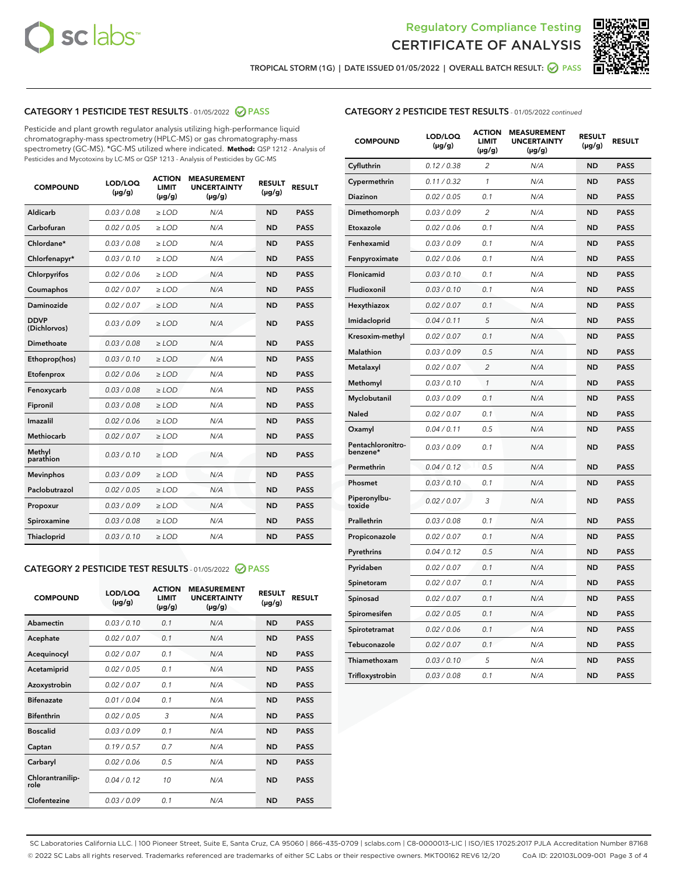



TROPICAL STORM (1G) | DATE ISSUED 01/05/2022 | OVERALL BATCH RESULT:  $\bigcirc$  PASS

## CATEGORY 1 PESTICIDE TEST RESULTS - 01/05/2022 2 PASS

Pesticide and plant growth regulator analysis utilizing high-performance liquid chromatography-mass spectrometry (HPLC-MS) or gas chromatography-mass spectrometry (GC-MS). \*GC-MS utilized where indicated. **Method:** QSP 1212 - Analysis of Pesticides and Mycotoxins by LC-MS or QSP 1213 - Analysis of Pesticides by GC-MS

| <b>COMPOUND</b>             | LOD/LOQ<br>$(\mu g/g)$ | <b>ACTION</b><br><b>LIMIT</b><br>$(\mu g/g)$ | <b>MEASUREMENT</b><br><b>UNCERTAINTY</b><br>$(\mu g/g)$ | <b>RESULT</b><br>$(\mu g/g)$ | <b>RESULT</b> |
|-----------------------------|------------------------|----------------------------------------------|---------------------------------------------------------|------------------------------|---------------|
| Aldicarb                    | 0.03/0.08              | $>$ LOD                                      | N/A                                                     | <b>ND</b>                    | <b>PASS</b>   |
| Carbofuran                  | 0.02 / 0.05            | $\ge$ LOD                                    | N/A                                                     | <b>ND</b>                    | <b>PASS</b>   |
| Chlordane*                  | 0.03 / 0.08            | $\ge$ LOD                                    | N/A                                                     | <b>ND</b>                    | <b>PASS</b>   |
| Chlorfenapyr*               | 0.03/0.10              | $\ge$ LOD                                    | N/A                                                     | <b>ND</b>                    | <b>PASS</b>   |
| Chlorpyrifos                | 0.02 / 0.06            | $\ge$ LOD                                    | N/A                                                     | <b>ND</b>                    | <b>PASS</b>   |
| Coumaphos                   | 0.02 / 0.07            | $\ge$ LOD                                    | N/A                                                     | <b>ND</b>                    | <b>PASS</b>   |
| Daminozide                  | 0.02/0.07              | $>$ LOD                                      | N/A                                                     | <b>ND</b>                    | <b>PASS</b>   |
| <b>DDVP</b><br>(Dichlorvos) | 0.03/0.09              | $\ge$ LOD                                    | N/A                                                     | <b>ND</b>                    | <b>PASS</b>   |
| <b>Dimethoate</b>           | 0.03/0.08              | $\ge$ LOD                                    | N/A                                                     | <b>ND</b>                    | <b>PASS</b>   |
| Ethoprop(hos)               | 0.03/0.10              | $\ge$ LOD                                    | N/A                                                     | <b>ND</b>                    | <b>PASS</b>   |
| Etofenprox                  | 0.02 / 0.06            | $\ge$ LOD                                    | N/A                                                     | <b>ND</b>                    | <b>PASS</b>   |
| Fenoxycarb                  | 0.03/0.08              | $\ge$ LOD                                    | N/A                                                     | <b>ND</b>                    | <b>PASS</b>   |
| Fipronil                    | 0.03/0.08              | $\ge$ LOD                                    | N/A                                                     | <b>ND</b>                    | <b>PASS</b>   |
| Imazalil                    | 0.02 / 0.06            | $>$ LOD                                      | N/A                                                     | <b>ND</b>                    | <b>PASS</b>   |
| Methiocarb                  | 0.02 / 0.07            | $>$ LOD                                      | N/A                                                     | <b>ND</b>                    | <b>PASS</b>   |
| Methyl<br>parathion         | 0.03/0.10              | $>$ LOD                                      | N/A                                                     | <b>ND</b>                    | <b>PASS</b>   |
| <b>Mevinphos</b>            | 0.03/0.09              | $\ge$ LOD                                    | N/A                                                     | <b>ND</b>                    | <b>PASS</b>   |
| Paclobutrazol               | 0.02 / 0.05            | $>$ LOD                                      | N/A                                                     | <b>ND</b>                    | <b>PASS</b>   |
| Propoxur                    | 0.03/0.09              | $\ge$ LOD                                    | N/A                                                     | <b>ND</b>                    | <b>PASS</b>   |
| Spiroxamine                 | 0.03 / 0.08            | $\ge$ LOD                                    | N/A                                                     | <b>ND</b>                    | <b>PASS</b>   |
| Thiacloprid                 | 0.03/0.10              | $\ge$ LOD                                    | N/A                                                     | <b>ND</b>                    | <b>PASS</b>   |

#### CATEGORY 2 PESTICIDE TEST RESULTS - 01/05/2022 2 PASS

| <b>COMPOUND</b>          | LOD/LOO<br>$(\mu g/g)$ | <b>ACTION</b><br>LIMIT<br>$(\mu g/g)$ | <b>MEASUREMENT</b><br><b>UNCERTAINTY</b><br>$(\mu g/g)$ | <b>RESULT</b><br>$(\mu g/g)$ | <b>RESULT</b> |  |
|--------------------------|------------------------|---------------------------------------|---------------------------------------------------------|------------------------------|---------------|--|
| Abamectin                | 0.03/0.10              | 0.1                                   | N/A                                                     | <b>ND</b>                    | <b>PASS</b>   |  |
| Acephate                 | 0.02/0.07              | 0.1                                   | N/A                                                     | <b>ND</b>                    | <b>PASS</b>   |  |
| Acequinocyl              | 0.02/0.07              | 0.1                                   | N/A                                                     | <b>ND</b>                    | <b>PASS</b>   |  |
| Acetamiprid              | 0.02 / 0.05            | 0.1                                   | N/A                                                     | <b>ND</b>                    | <b>PASS</b>   |  |
| Azoxystrobin             | 0.02/0.07              | 0.1                                   | N/A                                                     | <b>ND</b>                    | <b>PASS</b>   |  |
| <b>Bifenazate</b>        | 0.01 / 0.04            | 0.1                                   | N/A                                                     | <b>ND</b>                    | <b>PASS</b>   |  |
| <b>Bifenthrin</b>        | 0.02 / 0.05            | 3                                     | N/A                                                     | <b>ND</b>                    | <b>PASS</b>   |  |
| <b>Boscalid</b>          | 0.03/0.09              | 0.1                                   | N/A                                                     | <b>ND</b>                    | <b>PASS</b>   |  |
| Captan                   | 0.19/0.57              | 0.7                                   | N/A                                                     | <b>ND</b>                    | <b>PASS</b>   |  |
| Carbaryl                 | 0.02/0.06              | 0.5                                   | N/A                                                     | <b>ND</b>                    | <b>PASS</b>   |  |
| Chlorantranilip-<br>role | 0.04/0.12              | 10                                    | N/A                                                     | <b>ND</b>                    | <b>PASS</b>   |  |
| Clofentezine             | 0.03/0.09              | 0.1                                   | N/A                                                     | <b>ND</b>                    | <b>PASS</b>   |  |

| <b>COMPOUND</b>               | LOD/LOQ<br>(µg/g) | <b>ACTION</b><br>LIMIT<br>$(\mu g/g)$ | <b>MEASUREMENT</b><br><b>UNCERTAINTY</b><br>$(\mu g/g)$ | <b>RESULT</b><br>(µg/g) | <b>RESULT</b> |
|-------------------------------|-------------------|---------------------------------------|---------------------------------------------------------|-------------------------|---------------|
| Cyfluthrin                    | 0.12 / 0.38       | 2                                     | N/A                                                     | <b>ND</b>               | <b>PASS</b>   |
| Cypermethrin                  | 0.11 / 0.32       | 1                                     | N/A                                                     | <b>ND</b>               | <b>PASS</b>   |
| Diazinon                      | 0.02 / 0.05       | 0.1                                   | N/A                                                     | ND                      | PASS          |
| Dimethomorph                  | 0.03 / 0.09       | $\overline{c}$                        | N/A                                                     | <b>ND</b>               | <b>PASS</b>   |
| Etoxazole                     | 0.02 / 0.06       | 0.1                                   | N/A                                                     | ND                      | <b>PASS</b>   |
| Fenhexamid                    | 0.03 / 0.09       | 0.1                                   | N/A                                                     | ND                      | <b>PASS</b>   |
| Fenpyroximate                 | 0.02 / 0.06       | 0.1                                   | N/A                                                     | <b>ND</b>               | <b>PASS</b>   |
| Flonicamid                    | 0.03 / 0.10       | 0.1                                   | N/A                                                     | <b>ND</b>               | <b>PASS</b>   |
| Fludioxonil                   | 0.03 / 0.10       | 0.1                                   | N/A                                                     | <b>ND</b>               | <b>PASS</b>   |
| Hexythiazox                   | 0.02 / 0.07       | 0.1                                   | N/A                                                     | ND                      | <b>PASS</b>   |
| Imidacloprid                  | 0.04 / 0.11       | 5                                     | N/A                                                     | <b>ND</b>               | <b>PASS</b>   |
| Kresoxim-methyl               | 0.02 / 0.07       | 0.1                                   | N/A                                                     | ND                      | <b>PASS</b>   |
| Malathion                     | 0.03 / 0.09       | 0.5                                   | N/A                                                     | ND                      | <b>PASS</b>   |
| Metalaxyl                     | 0.02 / 0.07       | $\overline{2}$                        | N/A                                                     | <b>ND</b>               | <b>PASS</b>   |
| Methomyl                      | 0.03 / 0.10       | 1                                     | N/A                                                     | <b>ND</b>               | <b>PASS</b>   |
| Myclobutanil                  | 0.03 / 0.09       | 0.1                                   | N/A                                                     | ND                      | <b>PASS</b>   |
| <b>Naled</b>                  | 0.02 / 0.07       | 0.1                                   | N/A                                                     | ND                      | <b>PASS</b>   |
| Oxamyl                        | 0.04 / 0.11       | 0.5                                   | N/A                                                     | ND                      | <b>PASS</b>   |
| Pentachloronitro-<br>benzene* | 0.03/0.09         | 0.1                                   | N/A                                                     | ND                      | <b>PASS</b>   |
| Permethrin                    | 0.04 / 0.12       | 0.5                                   | N/A                                                     | ND                      | <b>PASS</b>   |
| Phosmet                       | 0.03 / 0.10       | 0.1                                   | N/A                                                     | <b>ND</b>               | <b>PASS</b>   |
| Piperonylbu-<br>toxide        | 0.02 / 0.07       | 3                                     | N/A                                                     | ND                      | <b>PASS</b>   |
| Prallethrin                   | 0.03 / 0.08       | 0.1                                   | N/A                                                     | <b>ND</b>               | <b>PASS</b>   |
| Propiconazole                 | 0.02 / 0.07       | 0.1                                   | N/A                                                     | ND                      | <b>PASS</b>   |
| Pyrethrins                    | 0.04 / 0.12       | 0.5                                   | N/A                                                     | ND                      | <b>PASS</b>   |
| Pyridaben                     | 0.02 / 0.07       | 0.1                                   | N/A                                                     | ND                      | <b>PASS</b>   |
| Spinetoram                    | 0.02 / 0.07       | 0.1                                   | N/A                                                     | ND                      | <b>PASS</b>   |
| Spinosad                      | 0.02 / 0.07       | 0.1                                   | N/A                                                     | ND                      | <b>PASS</b>   |
| Spiromesifen                  | 0.02 / 0.05       | 0.1                                   | N/A                                                     | ND                      | <b>PASS</b>   |
| Spirotetramat                 | 0.02 / 0.06       | 0.1                                   | N/A                                                     | ND                      | <b>PASS</b>   |
| Tebuconazole                  | 0.02 / 0.07       | 0.1                                   | N/A                                                     | ND                      | <b>PASS</b>   |
| Thiamethoxam                  | 0.03 / 0.10       | 5                                     | N/A                                                     | ND                      | <b>PASS</b>   |
| Trifloxystrobin               | 0.03 / 0.08       | 0.1                                   | N/A                                                     | ND                      | <b>PASS</b>   |

SC Laboratories California LLC. | 100 Pioneer Street, Suite E, Santa Cruz, CA 95060 | 866-435-0709 | sclabs.com | C8-0000013-LIC | ISO/IES 17025:2017 PJLA Accreditation Number 87168 © 2022 SC Labs all rights reserved. Trademarks referenced are trademarks of either SC Labs or their respective owners. MKT00162 REV6 12/20 CoA ID: 220103L009-001 Page 3 of 4